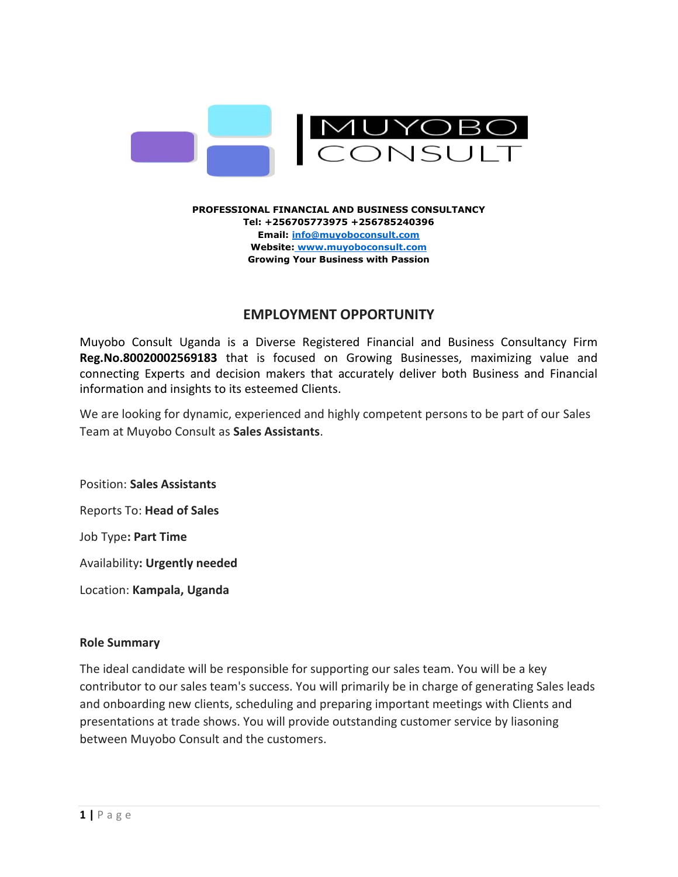

#### **PROFESSIONAL FINANCIAL AND BUSINESS CONSULTANCY Tel: +256705773975 +256785240396 Email[: info@muyoboconsult.com](mailto:info@muyoboconsult.com) Website: www[.muyoboconsult.com](file:///C:/Users/DELL/Desktop/MUYOBO%20CONSULT/COMPANY%20PROFILE/muyobo-consult.business.site) Growing Your Business with Passion**

# **EMPLOYMENT OPPORTUNITY**

Muyobo Consult Uganda is a Diverse Registered Financial and Business Consultancy Firm **Reg.No.80020002569183** that is focused on Growing Businesses, maximizing value and connecting Experts and decision makers that accurately deliver both Business and Financial information and insights to its esteemed Clients.

We are looking for dynamic, experienced and highly competent persons to be part of our Sales Team at Muyobo Consult as **Sales Assistants**.

Position: **Sales Assistants**

Reports To: **Head of Sales**

Job Type**: Part Time**

Availability**: Urgently needed**

Location: **Kampala, Uganda**

# **Role Summary**

The ideal candidate will be responsible for supporting our sales team. You will be a key contributor to our sales team's success. You will primarily be in charge of generating Sales leads and onboarding new clients, scheduling and preparing important meetings with Clients and presentations at trade shows. You will provide outstanding customer service by liasoning between Muyobo Consult and the customers.